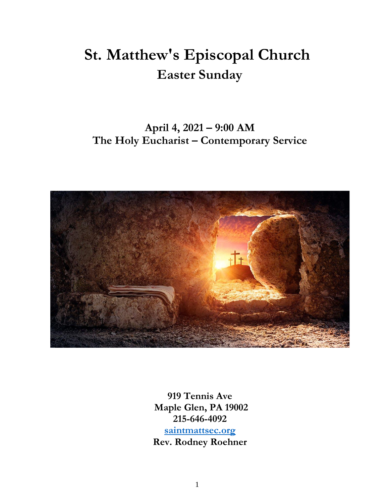# **St. Matthew's Episcopal Church Easter Sunday**

## **April 4, 2021 – 9:00 AM The Holy Eucharist – Contemporary Service**



**919 Tennis Ave Maple Glen, PA 19002 215-646-4092 [saintmattsec.org](http://www.saintmattsec.org/) Rev. Rodney Roehner**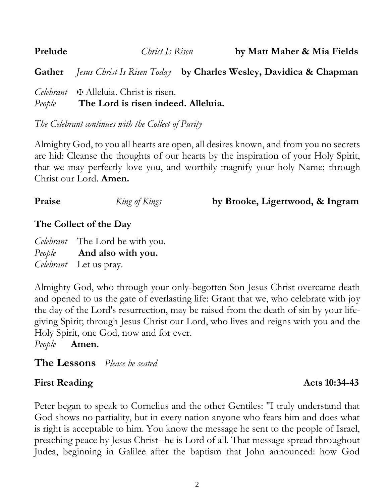**Gather** *Jesus Christ Is Risen Today* **by Charles Wesley, Davidica & Chapman** *Celebrant*  $\bullet$  Alleluia. Christ is risen. *People* **The Lord is risen indeed. Alleluia.**

*The Celebrant continues with the Collect of Purity*

Almighty God, to you all hearts are open, all desires known, and from you no secrets are hid: Cleanse the thoughts of our hearts by the inspiration of your Holy Spirit, that we may perfectly love you, and worthily magnify your holy Name; through Christ our Lord. **Amen.**

*Celebrant* The Lord be with you. *People* **And also with you.** *Celebrant* Let us pray.

Almighty God, who through your only-begotten Son Jesus Christ overcame death and opened to us the gate of everlasting life: Grant that we, who celebrate with joy the day of the Lord's resurrection, may be raised from the death of sin by your lifegiving Spirit; through Jesus Christ our Lord, who lives and reigns with you and the Holy Spirit, one God, now and for ever.

*People* **Amen.**

## **The Lessons** *Please be seated*

## First Reading **Acts** 10:34-43

Peter began to speak to Cornelius and the other Gentiles: "I truly understand that God shows no partiality, but in every nation anyone who fears him and does what is right is acceptable to him. You know the message he sent to the people of Israel, preaching peace by Jesus Christ--he is Lord of all. That message spread throughout Judea, beginning in Galilee after the baptism that John announced: how God

## **Praise** *King of Kings* **by Brooke, Ligertwood, & Ingram**

**The Collect of the Day**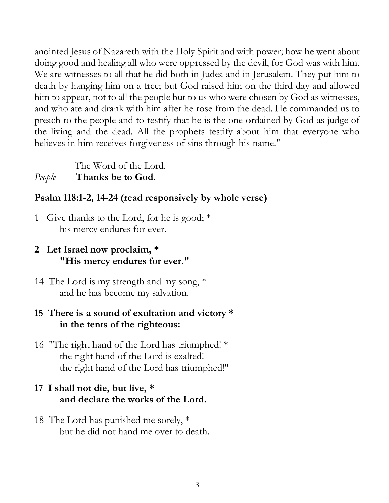anointed Jesus of Nazareth with the Holy Spirit and with power; how he went about doing good and healing all who were oppressed by the devil, for God was with him. We are witnesses to all that he did both in Judea and in Jerusalem. They put him to death by hanging him on a tree; but God raised him on the third day and allowed him to appear, not to all the people but to us who were chosen by God as witnesses, and who ate and drank with him after he rose from the dead. He commanded us to preach to the people and to testify that he is the one ordained by God as judge of the living and the dead. All the prophets testify about him that everyone who believes in him receives forgiveness of sins through his name."

 The Word of the Lord. *People* **Thanks be to God.**

### **Psalm 118:1-2, 14-24 (read responsively by whole verse)**

1 Give thanks to the Lord, for he is good; \* his mercy endures for ever.

### **2 Let Israel now proclaim, \* "His mercy endures for ever."**

14 The Lord is my strength and my song,  $*$ and he has become my salvation.

### **15 There is a sound of exultation and victory \* in the tents of the righteous:**

16 "The right hand of the Lord has triumphed! \* the right hand of the Lord is exalted! the right hand of the Lord has triumphed!"

### **17 I shall not die, but live, \* and declare the works of the Lord.**

18 The Lord has punished me sorely, \* but he did not hand me over to death.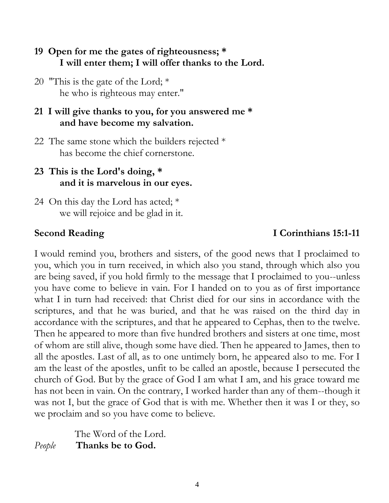- **19 Open for me the gates of righteousness; \* I will enter them; I will offer thanks to the Lord.**
- 20 "This is the gate of the Lord; \* he who is righteous may enter."

### **21 I will give thanks to you, for you answered me \* and have become my salvation.**

22 The same stone which the builders rejected  $*$ has become the chief cornerstone.

### **23 This is the Lord's doing, \* and it is marvelous in our eyes.**

24 On this day the Lord has acted;  $*$ we will rejoice and be glad in it.

### **Second Reading I Corinthians 15:1-11**

I would remind you, brothers and sisters, of the good news that I proclaimed to you, which you in turn received, in which also you stand, through which also you are being saved, if you hold firmly to the message that I proclaimed to you--unless you have come to believe in vain. For I handed on to you as of first importance what I in turn had received: that Christ died for our sins in accordance with the scriptures, and that he was buried, and that he was raised on the third day in accordance with the scriptures, and that he appeared to Cephas, then to the twelve. Then he appeared to more than five hundred brothers and sisters at one time, most of whom are still alive, though some have died. Then he appeared to James, then to all the apostles. Last of all, as to one untimely born, he appeared also to me. For I am the least of the apostles, unfit to be called an apostle, because I persecuted the church of God. But by the grace of God I am what I am, and his grace toward me has not been in vain. On the contrary, I worked harder than any of them--though it was not I, but the grace of God that is with me. Whether then it was I or they, so we proclaim and so you have come to believe.

 The Word of the Lord. *People* **Thanks be to God.**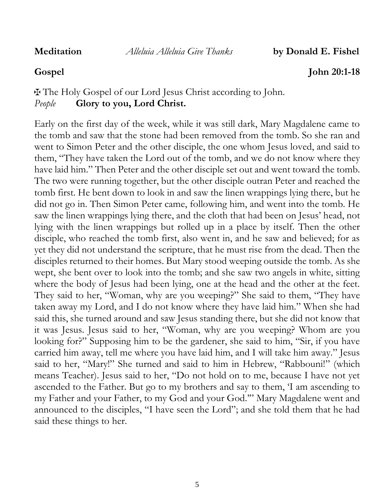### **Gospel John 20:1-18**

## The Holy Gospel of our Lord Jesus Christ according to John. *People* **Glory to you, Lord Christ.**

Early on the first day of the week, while it was still dark, Mary Magdalene came to the tomb and saw that the stone had been removed from the tomb. So she ran and went to Simon Peter and the other disciple, the one whom Jesus loved, and said to them, "They have taken the Lord out of the tomb, and we do not know where they have laid him." Then Peter and the other disciple set out and went toward the tomb. The two were running together, but the other disciple outran Peter and reached the tomb first. He bent down to look in and saw the linen wrappings lying there, but he did not go in. Then Simon Peter came, following him, and went into the tomb. He saw the linen wrappings lying there, and the cloth that had been on Jesus' head, not lying with the linen wrappings but rolled up in a place by itself. Then the other disciple, who reached the tomb first, also went in, and he saw and believed; for as yet they did not understand the scripture, that he must rise from the dead. Then the disciples returned to their homes. But Mary stood weeping outside the tomb. As she wept, she bent over to look into the tomb; and she saw two angels in white, sitting where the body of Jesus had been lying, one at the head and the other at the feet. They said to her, "Woman, why are you weeping?" She said to them, "They have taken away my Lord, and I do not know where they have laid him." When she had said this, she turned around and saw Jesus standing there, but she did not know that it was Jesus. Jesus said to her, "Woman, why are you weeping? Whom are you looking for?" Supposing him to be the gardener, she said to him, "Sir, if you have carried him away, tell me where you have laid him, and I will take him away." Jesus said to her, "Mary!" She turned and said to him in Hebrew, "Rabbouni!" (which means Teacher). Jesus said to her, "Do not hold on to me, because I have not yet ascended to the Father. But go to my brothers and say to them, 'I am ascending to my Father and your Father, to my God and your God.'" Mary Magdalene went and announced to the disciples, "I have seen the Lord"; and she told them that he had said these things to her.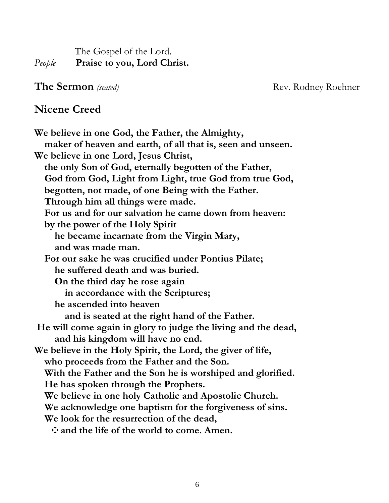The Gospel of the Lord. *People* **Praise to you, Lord Christ.**

### **The Sermon** *(seated)* Rev. Rodney Roehner

### **Nicene Creed**

**We believe in one God, the Father, the Almighty, maker of heaven and earth, of all that is, seen and unseen. We believe in one Lord, Jesus Christ, the only Son of God, eternally begotten of the Father, God from God, Light from Light, true God from true God, begotten, not made, of one Being with the Father. Through him all things were made. For us and for our salvation he came down from heaven: by the power of the Holy Spirit he became incarnate from the Virgin Mary, and was made man. For our sake he was crucified under Pontius Pilate; he suffered death and was buried. On the third day he rose again in accordance with the Scriptures; he ascended into heaven and is seated at the right hand of the Father. He will come again in glory to judge the living and the dead, and his kingdom will have no end. We believe in the Holy Spirit, the Lord, the giver of life, who proceeds from the Father and the Son. With the Father and the Son he is worshiped and glorified. He has spoken through the Prophets. We believe in one holy Catholic and Apostolic Church. We acknowledge one baptism for the forgiveness of sins. We look for the resurrection of the dead, and the life of the world to come. Amen.**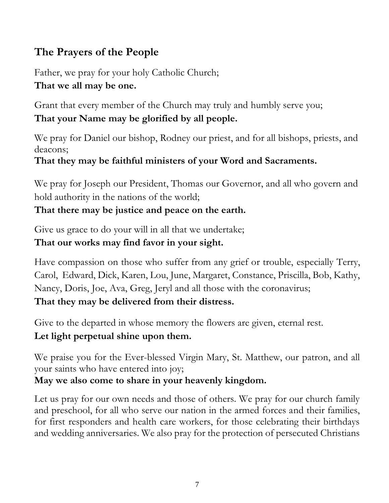## **The Prayers of the People**

Father, we pray for your holy Catholic Church; **That we all may be one.**

Grant that every member of the Church may truly and humbly serve you;

## **That your Name may be glorified by all people.**

We pray for Daniel our bishop, Rodney our priest, and for all bishops, priests, and deacons;

## **That they may be faithful ministers of your Word and Sacraments.**

We pray for Joseph our President, Thomas our Governor, and all who govern and hold authority in the nations of the world;

## **That there may be justice and peace on the earth.**

Give us grace to do your will in all that we undertake;

## **That our works may find favor in your sight.**

Have compassion on those who suffer from any grief or trouble, especially Terry, Carol, Edward, Dick, Karen, Lou, June, Margaret, Constance, Priscilla, Bob, Kathy, Nancy, Doris, Joe, Ava, Greg, Jeryl and all those with the coronavirus; **That they may be delivered from their distress.**

Give to the departed in whose memory the flowers are given, eternal rest. **Let light perpetual shine upon them.**

We praise you for the Ever-blessed Virgin Mary, St. Matthew, our patron, and all your saints who have entered into joy;

### **May we also come to share in your heavenly kingdom.**

Let us pray for our own needs and those of others. We pray for our church family and preschool, for all who serve our nation in the armed forces and their families, for first responders and health care workers, for those celebrating their birthdays and wedding anniversaries. We also pray for the protection of persecuted Christians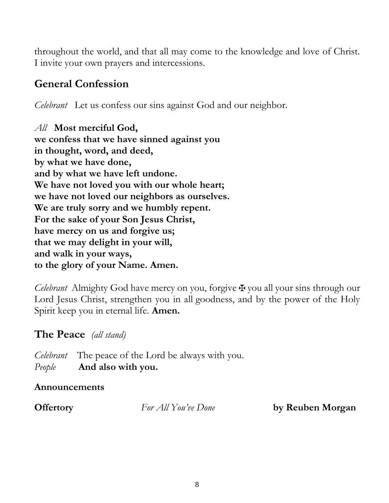throughout the world, and that all may come to the knowledge and love of Christ. I invite your own prayers and intercessions.

## **General Confession**

*Celebrant* Let us confess our sins against God and our neighbor.

*All* **Most merciful God, we confess that we have sinned against you in thought, word, and deed, by what we have done, and by what we have left undone. We have not loved you with our whole heart; we have not loved our neighbors as ourselves. We are truly sorry and we humbly repent. For the sake of your Son Jesus Christ, have mercy on us and forgive us; that we may delight in your will, and walk in your ways, to the glory of your Name. Amen.**

*Celebrant* Almighty God have mercy on you, forgive  $\mathbf{\Psi}$  you all your sins through our Lord Jesus Christ, strengthen you in all goodness, and by the power of the Holy Spirit keep you in eternal life. **Amen.**

## **The Peace** *(all stand)*

*Celebrant* The peace of the Lord be always with you. *People* **And also with you.**

### **Announcements**

**Offertory** *For All You've Done* **by Reuben Morgan**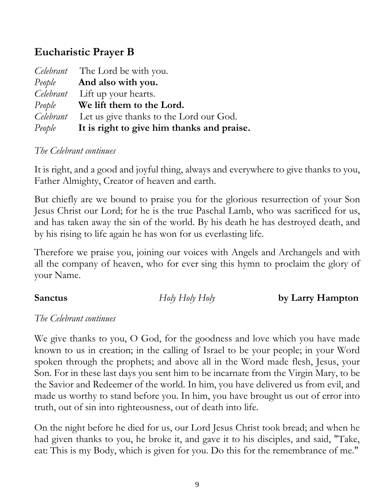## **Eucharistic Prayer B**

| <i>Celebrant</i> The Lord be with you.                   |
|----------------------------------------------------------|
| <i>People</i> <b>And also with you.</b>                  |
| <i>Celebrant</i> Lift up your hearts.                    |
| <i>People</i> We lift them to the Lord.                  |
| <i>Celebrant</i> Let us give thanks to the Lord our God. |
| People It is right to give him thanks and praise.        |

### *The Celebrant continues*

It is right, and a good and joyful thing, always and everywhere to give thanks to you, Father Almighty, Creator of heaven and earth.

But chiefly are we bound to praise you for the glorious resurrection of your Son Jesus Christ our Lord; for he is the true Paschal Lamb, who was sacrificed for us, and has taken away the sin of the world. By his death he has destroyed death, and by his rising to life again he has won for us everlasting life.

Therefore we praise you, joining our voices with Angels and Archangels and with all the company of heaven, who for ever sing this hymn to proclaim the glory of your Name.

**Sanctus** *Holy Holy Holy* **by Larry Hampton**

### *The Celebrant continues*

We give thanks to you, O God, for the goodness and love which you have made known to us in creation; in the calling of Israel to be your people; in your Word spoken through the prophets; and above all in the Word made flesh, Jesus, your Son. For in these last days you sent him to be incarnate from the Virgin Mary, to be the Savior and Redeemer of the world. In him, you have delivered us from evil, and made us worthy to stand before you. In him, you have brought us out of error into truth, out of sin into righteousness, out of death into life.

On the night before he died for us, our Lord Jesus Christ took bread; and when he had given thanks to you, he broke it, and gave it to his disciples, and said, "Take, eat: This is my Body, which is given for you. Do this for the remembrance of me."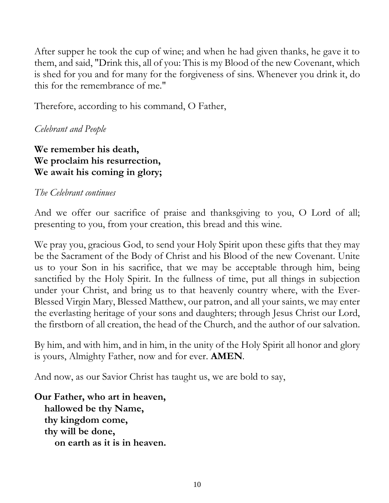After supper he took the cup of wine; and when he had given thanks, he gave it to them, and said, "Drink this, all of you: This is my Blood of the new Covenant, which is shed for you and for many for the forgiveness of sins. Whenever you drink it, do this for the remembrance of me."

Therefore, according to his command, O Father,

### *Celebrant and People*

### **We remember his death, We proclaim his resurrection, We await his coming in glory;**

### *The Celebrant continues*

And we offer our sacrifice of praise and thanksgiving to you, O Lord of all; presenting to you, from your creation, this bread and this wine.

We pray you, gracious God, to send your Holy Spirit upon these gifts that they may be the Sacrament of the Body of Christ and his Blood of the new Covenant. Unite us to your Son in his sacrifice, that we may be acceptable through him, being sanctified by the Holy Spirit. In the fullness of time, put all things in subjection under your Christ, and bring us to that heavenly country where, with the Ever-Blessed Virgin Mary, Blessed Matthew, our patron, and all your saints, we may enter the everlasting heritage of your sons and daughters; through Jesus Christ our Lord, the firstborn of all creation, the head of the Church, and the author of our salvation.

By him, and with him, and in him, in the unity of the Holy Spirit all honor and glory is yours, Almighty Father, now and for ever. **AMEN***.*

And now, as our Savior Christ has taught us, we are bold to say,

**Our Father, who art in heaven, hallowed be thy Name, thy kingdom come, thy will be done, on earth as it is in heaven.**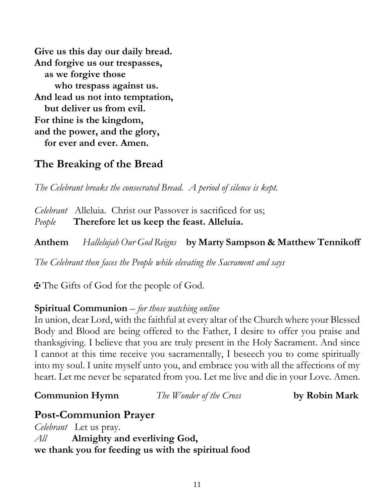**Give us this day our daily bread. And forgive us our trespasses, as we forgive those who trespass against us. And lead us not into temptation, but deliver us from evil. For thine is the kingdom, and the power, and the glory, for ever and ever. Amen.** 

## **The Breaking of the Bread**

*The Celebrant breaks the consecrated Bread. A period of silence is kept.*

*Celebrant* Alleluia. Christ our Passover is sacrificed for us; *People* **Therefore let us keep the feast. Alleluia.**

**Anthem** *Hallelujah Our God Reigns* **by Marty Sampson & Matthew Tennikoff**

*The Celebrant then faces the People while elevating the Sacrament and says*

The Gifts of God for the people of God.

### **Spiritual Communion** – *for those watching online*

In union, dear Lord, with the faithful at every altar of the Church where your Blessed Body and Blood are being offered to the Father, I desire to offer you praise and thanksgiving. I believe that you are truly present in the Holy Sacrament. And since I cannot at this time receive you sacramentally, I beseech you to come spiritually into my soul. I unite myself unto you, and embrace you with all the affections of my heart. Let me never be separated from you. Let me live and die in your Love. Amen.

**Communion Hymn** *The Wonder of the Cross* **by Robin Mark**

## **Post-Communion Prayer**

*Celebrant* Let us pray. *All* **Almighty and everliving God, we thank you for feeding us with the spiritual food**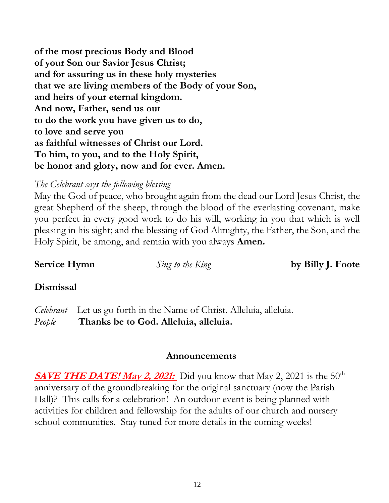**of the most precious Body and Blood of your Son our Savior Jesus Christ; and for assuring us in these holy mysteries that we are living members of the Body of your Son, and heirs of your eternal kingdom. And now, Father, send us out to do the work you have given us to do, to love and serve you as faithful witnesses of Christ our Lord. To him, to you, and to the Holy Spirit, be honor and glory, now and for ever. Amen.**

### *The Celebrant says the following blessing*

May the God of peace, who brought again from the dead our Lord Jesus Christ, the great Shepherd of the sheep, through the blood of the everlasting covenant, make you perfect in every good work to do his will, working in you that which is well pleasing in his sight; and the blessing of God Almighty, the Father, the Son, and the Holy Spirit, be among, and remain with you always **Amen.**

**Service Hymn** *Sing to the King* **by Billy J. Foote**

### **Dismissal**

*Celebrant* Let us go forth in the Name of Christ. Alleluia, alleluia. *People* **Thanks be to God. Alleluia, alleluia.**

### **Announcements**

**SAVE THE DATE! May 2, 2021:** Did you know that May 2, 2021 is the 50<sup>th</sup> anniversary of the groundbreaking for the original sanctuary (now the Parish Hall)? This calls for a celebration! An outdoor event is being planned with activities for children and fellowship for the adults of our church and nursery school communities. Stay tuned for more details in the coming weeks!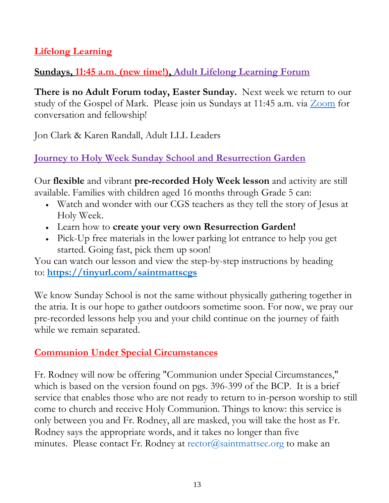## **Lifelong Learning**

### **Sundays, 11:45 a.m. (new time!), Adult Lifelong Learning Forum**

**There is no Adult Forum today, Easter Sunday.** Next week we return to our study of the Gospel of Mark. Please join us Sundays at 11:45 a.m. via  $\frac{\text{Zoom}}{\text{G}}$  for conversation and fellowship!

Jon Clark & Karen Randall, Adult LLL Leaders

### **Journey to Holy Week Sunday School and Resurrection Garden**

Our **flexible** and vibrant **pre-recorded Holy Week lesson** and activity are still available. Families with children aged 16 months through Grade 5 can:

- Watch and wonder with our CGS teachers as they tell the story of Jesus at Holy Week.
- Learn how to **create your very own Resurrection Garden!**
- Pick-Up free materials in the lower parking lot entrance to help you get started. Going fast, pick them up soon!

You can watch our lesson and view the step-by-step instructions by heading to: **<https://tinyurl.com/saintmattscgs>**

We know Sunday School is not the same without physically gathering together in the atria. It is our hope to gather outdoors sometime soon. For now, we pray our pre-recorded lessons help you and your child continue on the journey of faith while we remain separated.

### **Communion Under Special Circumstances**

Fr. Rodney will now be offering "Communion under Special Circumstances," which is based on the version found on pgs. 396-399 of the BCP. It is a brief service that enables those who are not ready to return to in-person worship to still come to church and receive Holy Communion. Things to know: this service is only between you and Fr. Rodney, all are masked, you will take the host as Fr. Rodney says the appropriate words, and it takes no longer than five minutes. Please contact Fr. Rodney at  $vector(a)$ saintmattsec.org to make an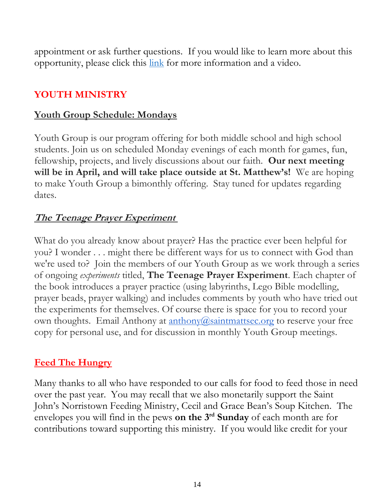appointment or ask further questions. If you would like to learn more about this opportunity, please click this [link](https://saintmattsec.org/2021/02/26/communion-under-special-circumstances/) for more information and a video.

### **YOUTH MINISTRY**

### **Youth Group Schedule: Mondays**

Youth Group is our program offering for both middle school and high school students. Join us on scheduled Monday evenings of each month for games, fun, fellowship, projects, and lively discussions about our faith. **Our next meeting will be in April, and will take place outside at St. Matthew's!** We are hoping to make Youth Group a bimonthly offering. Stay tuned for updates regarding dates.

## **The Teenage Prayer Experiment**

What do you already know about prayer? Has the practice ever been helpful for you? I wonder . . . might there be different ways for us to connect with God than we're used to? Join the members of our Youth Group as we work through a series of ongoing *experiments* titled, **The Teenage Prayer Experiment**. Each chapter of the book introduces a prayer practice (using labyrinths, Lego Bible modelling, prayer beads, prayer walking) and includes comments by youth who have tried out the experiments for themselves. Of course there is space for you to record your own thoughts. Email Anthony at  $\frac{\text{anthon}(a)}{\text{saintmattsec.org}}$  to reserve your free copy for personal use, and for discussion in monthly Youth Group meetings.

### **Feed The Hungry**

Many thanks to all who have responded to our calls for food to feed those in need over the past year. You may recall that we also monetarily support the Saint John's Norristown Feeding Ministry, Cecil and Grace Bean's Soup Kitchen. The envelopes you will find in the pews **on the 3rd Sunday** of each month are for contributions toward supporting this ministry. If you would like credit for your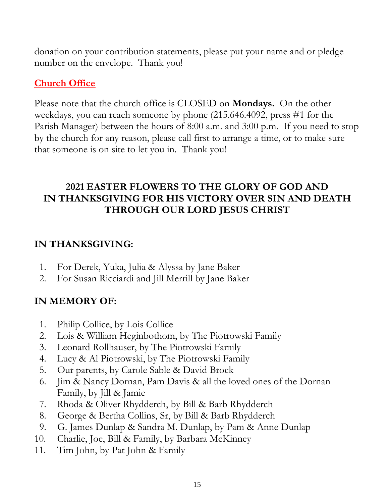donation on your contribution statements, please put your name and or pledge number on the envelope. Thank you!

## **Church Office**

Please note that the church office is CLOSED on **Mondays.** On the other weekdays, you can reach someone by phone (215.646.4092, press #1 for the Parish Manager) between the hours of 8:00 a.m. and 3:00 p.m. If you need to stop by the church for any reason, please call first to arrange a time, or to make sure that someone is on site to let you in. Thank you!

### **2021 EASTER FLOWERS TO THE GLORY OF GOD AND IN THANKSGIVING FOR HIS VICTORY OVER SIN AND DEATH THROUGH OUR LORD JESUS CHRIST**

### **IN THANKSGIVING:**

- 1. For Derek, Yuka, Julia & Alyssa by Jane Baker
- 2. For Susan Ricciardi and Jill Merrill by Jane Baker

## **IN MEMORY OF:**

- 1. Philip Collice, by Lois Collice
- 2. Lois & William Heginbothom, by The Piotrowski Family
- 3. Leonard Rollhauser, by The Piotrowski Family
- 4. Lucy & Al Piotrowski, by The Piotrowski Family
- 5. Our parents, by Carole Sable & David Brock
- 6. Jim & Nancy Dornan, Pam Davis & all the loved ones of the Dornan Family, by Jill & Jamie
- 7. Rhoda & Oliver Rhydderch, by Bill & Barb Rhydderch
- 8. George & Bertha Collins, Sr, by Bill & Barb Rhydderch
- 9. G. James Dunlap & Sandra M. Dunlap, by Pam & Anne Dunlap
- 10. Charlie, Joe, Bill & Family, by Barbara McKinney
- 11. Tim John, by Pat John & Family